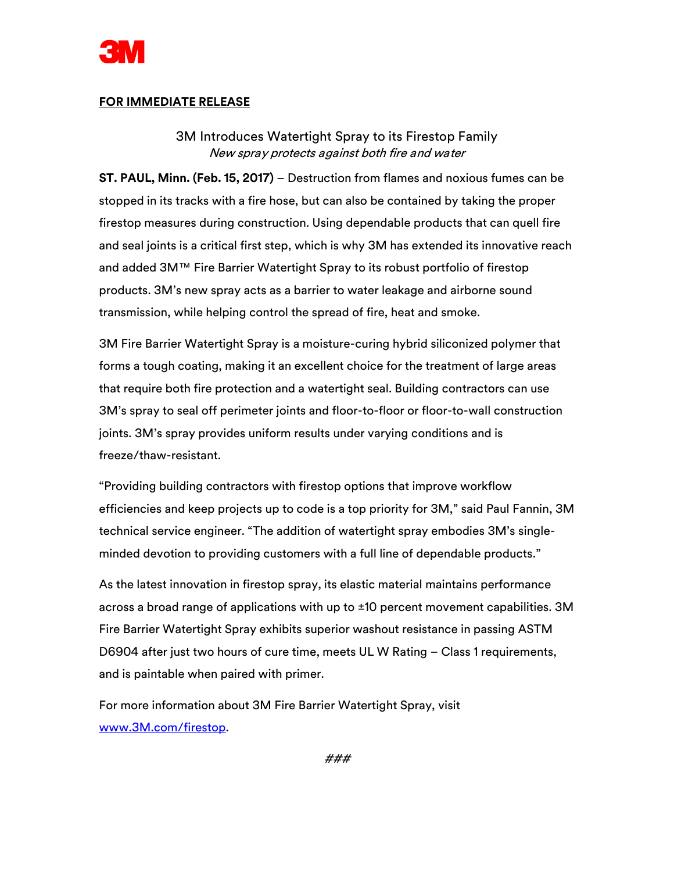

## **FOR IMMEDIATE RELEASE**

3M Introduces Watertight Spray to its Firestop Family New spray protects against both fire and water

**ST. PAUL, Minn. (Feb. 15, 2017)** – Destruction from flames and noxious fumes can be stopped in its tracks with a fire hose, but can also be contained by taking the proper firestop measures during construction. Using dependable products that can quell fire and seal joints is a critical first step, which is why 3M has extended its innovative reach and added 3M™ Fire Barrier Watertight Spray to its robust portfolio of firestop products. 3M's new spray acts as a barrier to water leakage and airborne sound transmission, while helping control the spread of fire, heat and smoke.

3M Fire Barrier Watertight Spray is a moisture-curing hybrid siliconized polymer that forms a tough coating, making it an excellent choice for the treatment of large areas that require both fire protection and a watertight seal. Building contractors can use 3M's spray to seal off perimeter joints and floor-to-floor or floor-to-wall construction joints. 3M's spray provides uniform results under varying conditions and is freeze/thaw-resistant.

"Providing building contractors with firestop options that improve workflow efficiencies and keep projects up to code is a top priority for 3M," said Paul Fannin, 3M technical service engineer. "The addition of watertight spray embodies 3M's singleminded devotion to providing customers with a full line of dependable products."

As the latest innovation in firestop spray, its elastic material maintains performance across a broad range of applications with up to ±10 percent movement capabilities. 3M Fire Barrier Watertight Spray exhibits superior washout resistance in passing ASTM D6904 after just two hours of cure time, meets UL W Rating – Class 1 requirements, and is paintable when paired with primer.

For more information about 3M Fire Barrier Watertight Spray, visit [www.3M.com/firestop.](http://www.3m.com/firestop)